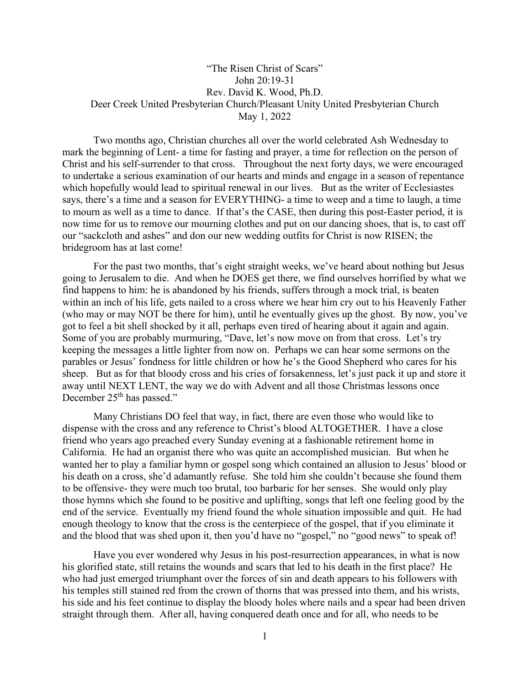## "The Risen Christ of Scars" John 20:19-31 Rev. David K. Wood, Ph.D. Deer Creek United Presbyterian Church/Pleasant Unity United Presbyterian Church May 1, 2022

Two months ago, Christian churches all over the world celebrated Ash Wednesday to mark the beginning of Lent- a time for fasting and prayer, a time for reflection on the person of Christ and his self-surrender to that cross. Throughout the next forty days, we were encouraged to undertake a serious examination of our hearts and minds and engage in a season of repentance which hopefully would lead to spiritual renewal in our lives. But as the writer of Ecclesiastes says, there's a time and a season for EVERYTHING- a time to weep and a time to laugh, a time to mourn as well as a time to dance. If that's the CASE, then during this post-Easter period, it is now time for us to remove our mourning clothes and put on our dancing shoes, that is, to cast off our "sackcloth and ashes" and don our new wedding outfits for Christ is now RISEN; the bridegroom has at last come!

For the past two months, that's eight straight weeks, we've heard about nothing but Jesus going to Jerusalem to die. And when he DOES get there, we find ourselves horrified by what we find happens to him: he is abandoned by his friends, suffers through a mock trial, is beaten within an inch of his life, gets nailed to a cross where we hear him cry out to his Heavenly Father (who may or may NOT be there for him), until he eventually gives up the ghost. By now, you've got to feel a bit shell shocked by it all, perhaps even tired of hearing about it again and again. Some of you are probably murmuring, "Dave, let's now move on from that cross. Let's try keeping the messages a little lighter from now on. Perhaps we can hear some sermons on the parables or Jesus' fondness for little children or how he's the Good Shepherd who cares for his sheep. But as for that bloody cross and his cries of forsakenness, let's just pack it up and store it away until NEXT LENT, the way we do with Advent and all those Christmas lessons once December 25<sup>th</sup> has passed."

Many Christians DO feel that way, in fact, there are even those who would like to dispense with the cross and any reference to Christ's blood ALTOGETHER. I have a close friend who years ago preached every Sunday evening at a fashionable retirement home in California. He had an organist there who was quite an accomplished musician. But when he wanted her to play a familiar hymn or gospel song which contained an allusion to Jesus' blood or his death on a cross, she'd adamantly refuse. She told him she couldn't because she found them to be offensive- they were much too brutal, too barbaric for her senses. She would only play those hymns which she found to be positive and uplifting, songs that left one feeling good by the end of the service. Eventually my friend found the whole situation impossible and quit. He had enough theology to know that the cross is the centerpiece of the gospel, that if you eliminate it and the blood that was shed upon it, then you'd have no "gospel," no "good news" to speak of!

Have you ever wondered why Jesus in his post-resurrection appearances, in what is now his glorified state, still retains the wounds and scars that led to his death in the first place? He who had just emerged triumphant over the forces of sin and death appears to his followers with his temples still stained red from the crown of thorns that was pressed into them, and his wrists, his side and his feet continue to display the bloody holes where nails and a spear had been driven straight through them. After all, having conquered death once and for all, who needs to be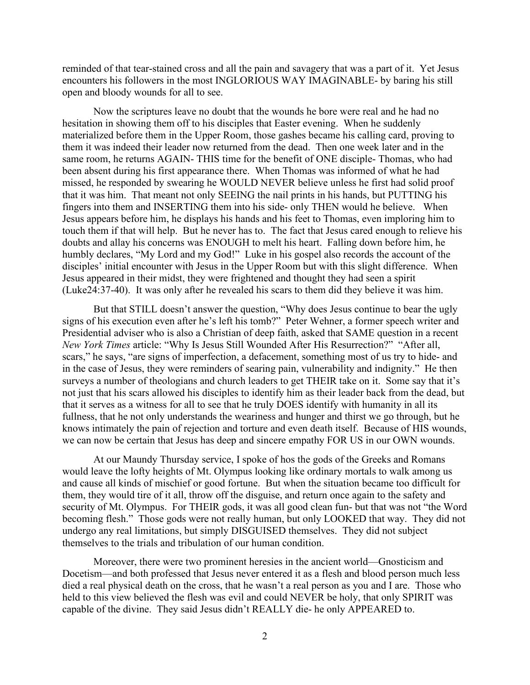reminded of that tear-stained cross and all the pain and savagery that was a part of it. Yet Jesus encounters his followers in the most INGLORIOUS WAY IMAGINABLE- by baring his still open and bloody wounds for all to see.

Now the scriptures leave no doubt that the wounds he bore were real and he had no hesitation in showing them off to his disciples that Easter evening. When he suddenly materialized before them in the Upper Room, those gashes became his calling card, proving to them it was indeed their leader now returned from the dead. Then one week later and in the same room, he returns AGAIN- THIS time for the benefit of ONE disciple- Thomas, who had been absent during his first appearance there. When Thomas was informed of what he had missed, he responded by swearing he WOULD NEVER believe unless he first had solid proof that it was him. That meant not only SEEING the nail prints in his hands, but PUTTING his fingers into them and INSERTING them into his side- only THEN would he believe. When Jesus appears before him, he displays his hands and his feet to Thomas, even imploring him to touch them if that will help. But he never has to. The fact that Jesus cared enough to relieve his doubts and allay his concerns was ENOUGH to melt his heart. Falling down before him, he humbly declares, "My Lord and my God!" Luke in his gospel also records the account of the disciples' initial encounter with Jesus in the Upper Room but with this slight difference. When Jesus appeared in their midst, they were frightened and thought they had seen a spirit (Luke24:37-40). It was only after he revealed his scars to them did they believe it was him.

But that STILL doesn't answer the question, "Why does Jesus continue to bear the ugly signs of his execution even after he's left his tomb?" Peter Wehner, a former speech writer and Presidential adviser who is also a Christian of deep faith, asked that SAME question in a recent *New York Times* article: "Why Is Jesus Still Wounded After His Resurrection?" "After all, scars," he says, "are signs of imperfection, a defacement, something most of us try to hide- and in the case of Jesus, they were reminders of searing pain, vulnerability and indignity." He then surveys a number of theologians and church leaders to get THEIR take on it. Some say that it's not just that his scars allowed his disciples to identify him as their leader back from the dead, but that it serves as a witness for all to see that he truly DOES identify with humanity in all its fullness, that he not only understands the weariness and hunger and thirst we go through, but he knows intimately the pain of rejection and torture and even death itself. Because of HIS wounds, we can now be certain that Jesus has deep and sincere empathy FOR US in our OWN wounds.

At our Maundy Thursday service, I spoke of hos the gods of the Greeks and Romans would leave the lofty heights of Mt. Olympus looking like ordinary mortals to walk among us and cause all kinds of mischief or good fortune. But when the situation became too difficult for them, they would tire of it all, throw off the disguise, and return once again to the safety and security of Mt. Olympus. For THEIR gods, it was all good clean fun- but that was not "the Word becoming flesh." Those gods were not really human, but only LOOKED that way. They did not undergo any real limitations, but simply DISGUISED themselves. They did not subject themselves to the trials and tribulation of our human condition.

Moreover, there were two prominent heresies in the ancient world—Gnosticism and Docetism—and both professed that Jesus never entered it as a flesh and blood person much less died a real physical death on the cross, that he wasn't a real person as you and I are. Those who held to this view believed the flesh was evil and could NEVER be holy, that only SPIRIT was capable of the divine. They said Jesus didn't REALLY die- he only APPEARED to.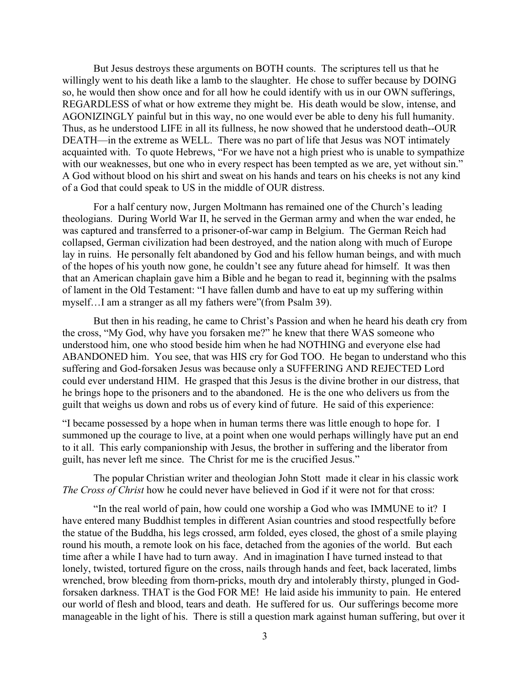But Jesus destroys these arguments on BOTH counts. The scriptures tell us that he willingly went to his death like a lamb to the slaughter. He chose to suffer because by DOING so, he would then show once and for all how he could identify with us in our OWN sufferings, REGARDLESS of what or how extreme they might be. His death would be slow, intense, and AGONIZINGLY painful but in this way, no one would ever be able to deny his full humanity. Thus, as he understood LIFE in all its fullness, he now showed that he understood death--OUR DEATH—in the extreme as WELL. There was no part of life that Jesus was NOT intimately acquainted with. To quote Hebrews, "For we have not a high priest who is unable to sympathize with our weaknesses, but one who in every respect has been tempted as we are, yet without sin." A God without blood on his shirt and sweat on his hands and tears on his cheeks is not any kind of a God that could speak to US in the middle of OUR distress.

For a half century now, Jurgen Moltmann has remained one of the Church's leading theologians. During World War II, he served in the German army and when the war ended, he was captured and transferred to a prisoner-of-war camp in Belgium. The German Reich had collapsed, German civilization had been destroyed, and the nation along with much of Europe lay in ruins. He personally felt abandoned by God and his fellow human beings, and with much of the hopes of his youth now gone, he couldn't see any future ahead for himself. It was then that an American chaplain gave him a Bible and he began to read it, beginning with the psalms of lament in the Old Testament: "I have fallen dumb and have to eat up my suffering within myself…I am a stranger as all my fathers were"(from Psalm 39).

But then in his reading, he came to Christ's Passion and when he heard his death cry from the cross, "My God, why have you forsaken me?" he knew that there WAS someone who understood him, one who stood beside him when he had NOTHING and everyone else had ABANDONED him. You see, that was HIS cry for God TOO. He began to understand who this suffering and God-forsaken Jesus was because only a SUFFERING AND REJECTED Lord could ever understand HIM. He grasped that this Jesus is the divine brother in our distress, that he brings hope to the prisoners and to the abandoned. He is the one who delivers us from the guilt that weighs us down and robs us of every kind of future. He said of this experience:

"I became possessed by a hope when in human terms there was little enough to hope for. I summoned up the courage to live, at a point when one would perhaps willingly have put an end to it all. This early companionship with Jesus, the brother in suffering and the liberator from guilt, has never left me since. The Christ for me is the crucified Jesus."

The popular Christian writer and theologian John Stott made it clear in his classic work *The Cross of Christ* how he could never have believed in God if it were not for that cross:

"In the real world of pain, how could one worship a God who was IMMUNE to it? I have entered many Buddhist temples in different Asian countries and stood respectfully before the statue of the Buddha, his legs crossed, arm folded, eyes closed, the ghost of a smile playing round his mouth, a remote look on his face, detached from the agonies of the world. But each time after a while I have had to turn away. And in imagination I have turned instead to that lonely, twisted, tortured figure on the cross, nails through hands and feet, back lacerated, limbs wrenched, brow bleeding from thorn-pricks, mouth dry and intolerably thirsty, plunged in Godforsaken darkness. THAT is the God FOR ME! He laid aside his immunity to pain. He entered our world of flesh and blood, tears and death. He suffered for us. Our sufferings become more manageable in the light of his. There is still a question mark against human suffering, but over it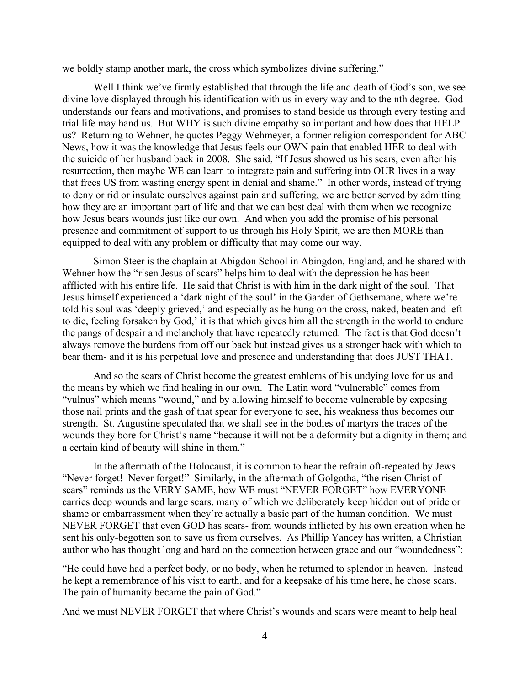we boldly stamp another mark, the cross which symbolizes divine suffering."

Well I think we've firmly established that through the life and death of God's son, we see divine love displayed through his identification with us in every way and to the nth degree. God understands our fears and motivations, and promises to stand beside us through every testing and trial life may hand us. But WHY is such divine empathy so important and how does that HELP us? Returning to Wehner, he quotes Peggy Wehmeyer, a former religion correspondent for ABC News, how it was the knowledge that Jesus feels our OWN pain that enabled HER to deal with the suicide of her husband back in 2008. She said, "If Jesus showed us his scars, even after his resurrection, then maybe WE can learn to integrate pain and suffering into OUR lives in a way that frees US from wasting energy spent in denial and shame." In other words, instead of trying to deny or rid or insulate ourselves against pain and suffering, we are better served by admitting how they are an important part of life and that we can best deal with them when we recognize how Jesus bears wounds just like our own. And when you add the promise of his personal presence and commitment of support to us through his Holy Spirit, we are then MORE than equipped to deal with any problem or difficulty that may come our way.

Simon Steer is the chaplain at Abigdon School in Abingdon, England, and he shared with Wehner how the "risen Jesus of scars" helps him to deal with the depression he has been afflicted with his entire life. He said that Christ is with him in the dark night of the soul. That Jesus himself experienced a 'dark night of the soul' in the Garden of Gethsemane, where we're told his soul was 'deeply grieved,' and especially as he hung on the cross, naked, beaten and left to die, feeling forsaken by God,' it is that which gives him all the strength in the world to endure the pangs of despair and melancholy that have repeatedly returned. The fact is that God doesn't always remove the burdens from off our back but instead gives us a stronger back with which to bear them- and it is his perpetual love and presence and understanding that does JUST THAT.

And so the scars of Christ become the greatest emblems of his undying love for us and the means by which we find healing in our own. The Latin word "vulnerable" comes from "vulnus" which means "wound," and by allowing himself to become vulnerable by exposing those nail prints and the gash of that spear for everyone to see, his weakness thus becomes our strength. St. Augustine speculated that we shall see in the bodies of martyrs the traces of the wounds they bore for Christ's name "because it will not be a deformity but a dignity in them; and a certain kind of beauty will shine in them."

In the aftermath of the Holocaust, it is common to hear the refrain oft-repeated by Jews "Never forget! Never forget!" Similarly, in the aftermath of Golgotha, "the risen Christ of scars" reminds us the VERY SAME, how WE must "NEVER FORGET" how EVERYONE carries deep wounds and large scars, many of which we deliberately keep hidden out of pride or shame or embarrassment when they're actually a basic part of the human condition. We must NEVER FORGET that even GOD has scars- from wounds inflicted by his own creation when he sent his only-begotten son to save us from ourselves. As Phillip Yancey has written, a Christian author who has thought long and hard on the connection between grace and our "woundedness":

"He could have had a perfect body, or no body, when he returned to splendor in heaven. Instead he kept a remembrance of his visit to earth, and for a keepsake of his time here, he chose scars. The pain of humanity became the pain of God."

And we must NEVER FORGET that where Christ's wounds and scars were meant to help heal